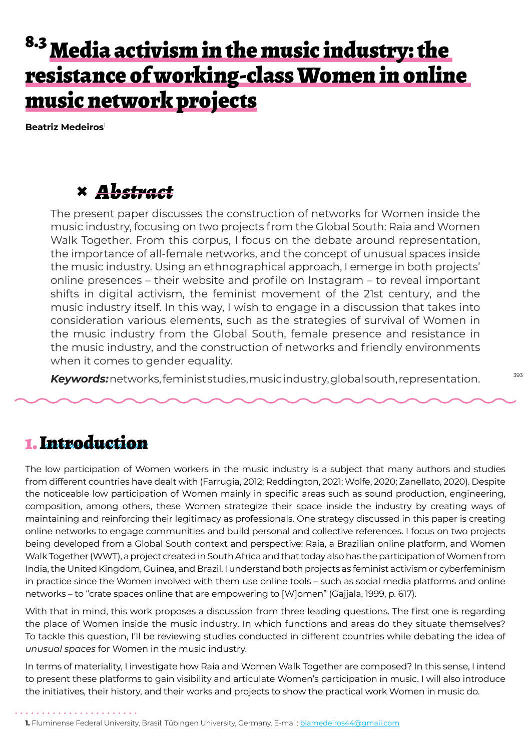# 8.3 Media activism in the music industry: the resistance of working-class Women in online music network projects

**Beatriz Medeiros**<sup>1</sup>

#### **×** *Abstract*

The present paper discusses the construction of networks for Women inside the music industry, focusing on two projects from the Global South: Raia and Women Walk Together. From this corpus, I focus on the debate around representation, the importance of all-female networks, and the concept of unusual spaces inside the music industry. Using an ethnographical approach, I emerge in both projects' online presences – their website and profile on Instagram – to reveal important shifts in digital activism, the feminist movement of the 21st century, and the music industry itself. In this way, I wish to engage in a discussion that takes into consideration various elements, such as the strategies of survival of Women in the music industry from the Global South, female presence and resistance in the music industry, and the construction of networks and friendly environments when it comes to gender equality.

*Keywords:*networks, feminist studies, music industry, global south, representation.

#### 1. Introduction

The low participation of Women workers in the music industry is a subject that many authors and studies from different countries have dealt with (Farrugia, 2012; Reddington, 2021; Wolfe, 2020; Zanellato, 2020). Despite the noticeable low participation of Women mainly in specific areas such as sound production, engineering, composition, among others, these Women strategize their space inside the industry by creating ways of maintaining and reinforcing their legitimacy as professionals. One strategy discussed in this paper is creating online networks to engage communities and build personal and collective references. I focus on two projects being developed from a Global South context and perspective: Raia, a Brazilian online platform, and Women Walk Together (WWT), a project created in South Africa and that today also has the participation of Women from India, the United Kingdom, Guinea, and Brazil. I understand both projects as feminist activism or cyberfeminism in practice since the Women involved with them use online tools – such as social media platforms and online networks – to "crate spaces online that are empowering to [W]omen" (Gajjala, 1999, p. 617).

With that in mind, this work proposes a discussion from three leading questions. The first one is regarding the place of Women inside the music industry. In which functions and areas do they situate themselves? To tackle this question, I'll be reviewing studies conducted in different countries while debating the idea of *unusual spaces* for Women in the music industry.

In terms of materiality, I investigate how Raia and Women Walk Together are composed? In this sense, I intend to present these platforms to gain visibility and articulate Women's participation in music. I will also introduce the initiatives, their history, and their works and projects to show the practical work Women in music do.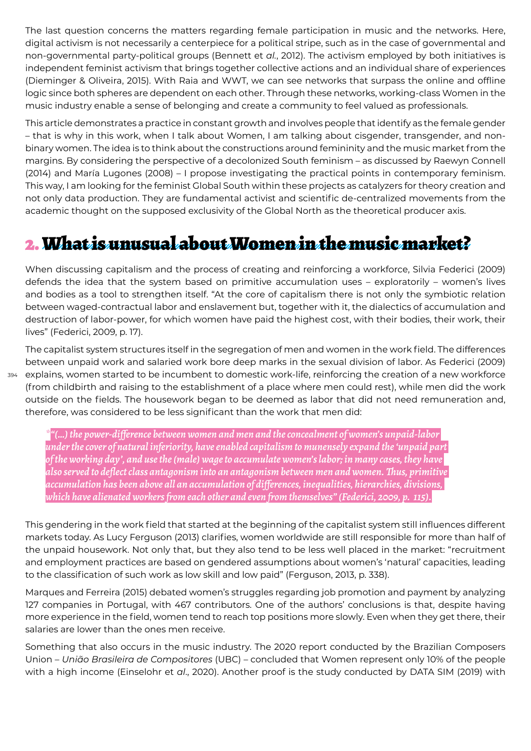The last question concerns the matters regarding female participation in music and the networks. Here, digital activism is not necessarily a centerpiece for a political stripe, such as in the case of governmental and non-governmental party-political groups (Bennett et *al.*, 2012). The activism employed by both initiatives is independent feminist activism that brings together collective actions and an individual share of experiences (Dieminger & Oliveira, 2015). With Raia and WWT, we can see networks that surpass the online and offline logic since both spheres are dependent on each other. Through these networks, working-class Women in the music industry enable a sense of belonging and create a community to feel valued as professionals.

This article demonstrates a practice in constant growth and involves people that identify as the female gender – that is why in this work, when I talk about Women, I am talking about cisgender, transgender, and nonbinary women. The idea is to think about the constructions around femininity and the music market from the margins. By considering the perspective of a decolonized South feminism – as discussed by Raewyn Connell (2014) and María Lugones (2008) – I propose investigating the practical points in contemporary feminism. This way, I am looking for the feminist Global South within these projects as catalyzers for theory creation and not only data production. They are fundamental activist and scientific de-centralized movements from the academic thought on the supposed exclusivity of the Global North as the theoretical producer axis.

#### 2. What is unusual about Women in the music market?

When discussing capitalism and the process of creating and reinforcing a workforce, Silvia Federici (2009) defends the idea that the system based on primitive accumulation uses – exploratorily – women's lives and bodies as a tool to strengthen itself. "At the core of capitalism there is not only the symbiotic relation between waged-contractual labor and enslavement but, together with it, the dialectics of accumulation and destruction of labor-power, for which women have paid the highest cost, with their bodies, their work, their lives" (Federici, 2009, p. 17).

394 explains, women started to be incumbent to domestic work-life, reinforcing the creation of a new workforce The capitalist system structures itself in the segregation of men and women in the work field. The differences between unpaid work and salaried work bore deep marks in the sexual division of labor. As Federici (2009) (from childbirth and raising to the establishment of a place where men could rest), while men did the work outside on the fields. The housework began to be deemed as labor that did not need remuneration and, therefore, was considered to be less significant than the work that men did:

*\*"(…) the power-difference between women and men and the concealment of women's unpaid-labor under the cover of natural inferiority, have enabled capitalism to munensely expand the 'unpaid part of the working day', and use the (male) wage to accumulate women's labor; in many cases, they have also served to deflect class antagonism into an antagonism between men and women. Thus, primitive accumulation has been above all an accumulation of differences, inequalities, hierarchies, divisions, which have alienated workers from each other and even from themselves" (Federici, 2009, p. 115).*

This gendering in the work field that started at the beginning of the capitalist system still influences different markets today. As Lucy Ferguson (2013) clarifies, women worldwide are still responsible for more than half of the unpaid housework. Not only that, but they also tend to be less well placed in the market: "recruitment and employment practices are based on gendered assumptions about women's 'natural' capacities, leading to the classification of such work as low skill and low paid" (Ferguson, 2013, p. 338).

Marques and Ferreira (2015) debated women's struggles regarding job promotion and payment by analyzing 127 companies in Portugal, with 467 contributors. One of the authors' conclusions is that, despite having more experience in the field, women tend to reach top positions more slowly. Even when they get there, their salaries are lower than the ones men receive.

Something that also occurs in the music industry. The 2020 report conducted by the Brazilian Composers Union – *União Brasileira de Compositores* (UBC) – concluded that Women represent only 10% of the people with a high income (Einselohr et *al*., 2020). Another proof is the study conducted by DATA SIM (2019) with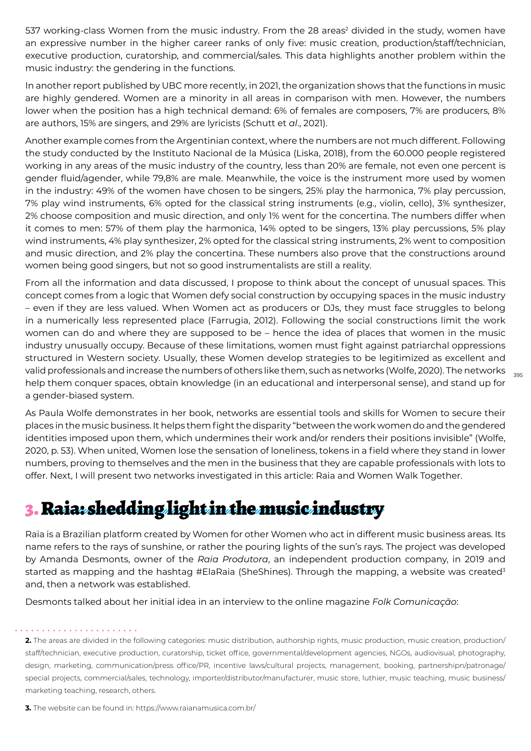537 working-class Women from the music industry. From the 28 areas<sup>2</sup> divided in the study, women have an expressive number in the higher career ranks of only five: music creation, production/staff/technician, executive production, curatorship, and commercial/sales. This data highlights another problem within the music industry: the gendering in the functions.

In another report published by UBC more recently, in 2021, the organization shows that the functions in music are highly gendered. Women are a minority in all areas in comparison with men. However, the numbers lower when the position has a high technical demand: 6% of females are composers, 7% are producers, 8% are authors, 15% are singers, and 29% are lyricists (Schutt et *al*., 2021).

Another example comes from the Argentinian context, where the numbers are not much different. Following the study conducted by the Instituto Nacional de la Música (Liska, 2018), from the 60.000 people registered working in any areas of the music industry of the country, less than 20% are female, not even one percent is gender fluid/agender, while 79,8% are male. Meanwhile, the voice is the instrument more used by women in the industry: 49% of the women have chosen to be singers, 25% play the harmonica, 7% play percussion, 7% play wind instruments, 6% opted for the classical string instruments (e.g., violin, cello), 3% synthesizer, 2% choose composition and music direction, and only 1% went for the concertina. The numbers differ when it comes to men: 57% of them play the harmonica, 14% opted to be singers, 13% play percussions, 5% play wind instruments, 4% play synthesizer, 2% opted for the classical string instruments, 2% went to composition and music direction, and 2% play the concertina. These numbers also prove that the constructions around women being good singers, but not so good instrumentalists are still a reality.

valid professionals and increase the numbers of others like them, such as networks (Wolfe, 2020). The networks  $\frac{}{\,395}$ From all the information and data discussed, I propose to think about the concept of unusual spaces. This concept comes from a logic that Women defy social construction by occupying spaces in the music industry – even if they are less valued. When Women act as producers or DJs, they must face struggles to belong in a numerically less represented place (Farrugia, 2012). Following the social constructions limit the work women can do and where they are supposed to be – hence the idea of places that women in the music industry unusually occupy. Because of these limitations, women must fight against patriarchal oppressions structured in Western society. Usually, these Women develop strategies to be legitimized as excellent and help them conquer spaces, obtain knowledge (in an educational and interpersonal sense), and stand up for a gender-biased system.

As Paula Wolfe demonstrates in her book, networks are essential tools and skills for Women to secure their places in the music business. It helps them fight the disparity "between the work women do and the gendered identities imposed upon them, which undermines their work and/or renders their positions invisible" (Wolfe, 2020, p. 53). When united, Women lose the sensation of loneliness, tokens in a field where they stand in lower numbers, proving to themselves and the men in the business that they are capable professionals with lots to offer. Next, I will present two networks investigated in this article: Raia and Women Walk Together.

## 3. Raia: shedding light in the music industry

Raia is a Brazilian platform created by Women for other Women who act in different music business areas. Its name refers to the rays of sunshine, or rather the pouring lights of the sun's rays. The project was developed by Amanda Desmonts, owner of the *Raia Produtora*, an independent production company, in 2019 and started as mapping and the hashtag #ElaRaia (SheShines). Through the mapping, a website was created<sup>3</sup> and, then a network was established.

Desmonts talked about her initial idea in an interview to the online magazine *Folk Comunicação*:

**2.** The areas are divided in the following categories: music distribution, authorship rights, music production, music creation, production/ staff/technician, executive production, curatorship, ticket office, governmental/development agencies, NGOs, audiovisual, photography, design, marketing, communication/press office/PR, incentive laws/cultural projects, management, booking, partnershipn/patronage/ special projects, commercial/sales, technology, importer/distributor/manufacturer, music store, luthier, music teaching, music business/ marketing teaching, research, others.

**3.** The website can be found in: https://www.raianamusica.com.br/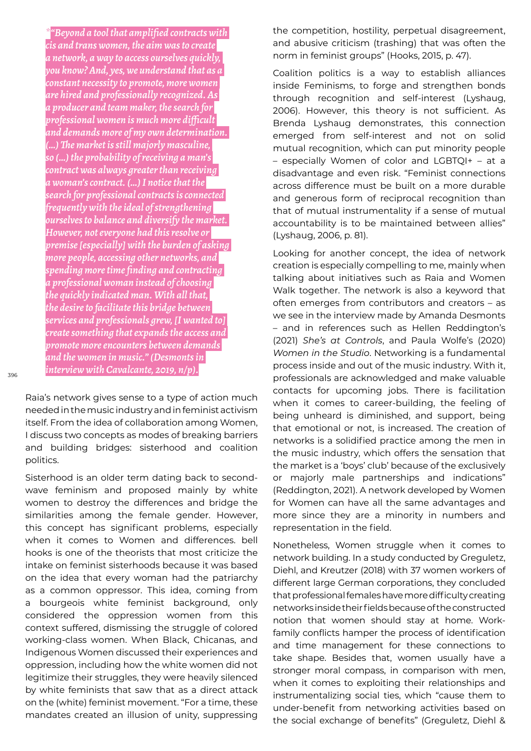*\*"Beyond a tool that amplified contracts with cis and trans women, the aim was to create a network, a way to access ourselves quickly, you know? And, yes, we understand that as a constant necessity to promote, more women are hired and professionally recognized. As a producer and team maker, the search for professional women is much more difficult and demands more of my own determination. (…) The market is still majorly masculine, so (…) the probability of receiving a man's contract was always greater than receiving a woman's contract. (…) I notice that the search for professional contracts is connected frequently with the ideal of strengthening ourselves to balance and diversify the market. However, not everyone had this resolve or premise [especially] with the burden of asking more people, accessing other networks, and spending more time finding and contracting a professional woman instead of choosing the quickly indicated man. With all that, the desire to facilitate this bridge between services and professionals grew, [I wanted to] create something that expands the access and promote more encounters between demands and the women in music." (Desmonts in interview with Cavalcante, 2019, n/p).*

396

Raia's network gives sense to a type of action much needed in the music industry and in feminist activism itself. From the idea of collaboration among Women, I discuss two concepts as modes of breaking barriers and building bridges: sisterhood and coalition politics.

Sisterhood is an older term dating back to secondwave feminism and proposed mainly by white women to destroy the differences and bridge the similarities among the female gender. However, this concept has significant problems, especially when it comes to Women and differences. bell hooks is one of the theorists that most criticize the intake on feminist sisterhoods because it was based on the idea that every woman had the patriarchy as a common oppressor. This idea, coming from a bourgeois white feminist background, only considered the oppression women from this context suffered, dismissing the struggle of colored working-class women. When Black, Chicanas, and Indigenous Women discussed their experiences and oppression, including how the white women did not legitimize their struggles, they were heavily silenced by white feminists that saw that as a direct attack on the (white) feminist movement. "For a time, these mandates created an illusion of unity, suppressing the competition, hostility, perpetual disagreement, and abusive criticism (trashing) that was often the norm in feminist groups" (Hooks, 2015, p. 47).

Coalition politics is a way to establish alliances inside Feminisms, to forge and strengthen bonds through recognition and self-interest (Lyshaug, 2006). However, this theory is not sufficient. As Brenda Lyshaug demonstrates, this connection emerged from self-interest and not on solid mutual recognition, which can put minority people – especially Women of color and LGBTQI+ – at a disadvantage and even risk. "Feminist connections across difference must be built on a more durable and generous form of reciprocal recognition than that of mutual instrumentality if a sense of mutual accountability is to be maintained between allies" (Lyshaug, 2006, p. 81).

Looking for another concept, the idea of network creation is especially compelling to me, mainly when talking about initiatives such as Raia and Women Walk together. The network is also a keyword that often emerges from contributors and creators – as we see in the interview made by Amanda Desmonts – and in references such as Hellen Reddington's (2021) *She's at Controls*, and Paula Wolfe's (2020) *Women in the Studio*. Networking is a fundamental process inside and out of the music industry. With it, professionals are acknowledged and make valuable contacts for upcoming jobs. There is facilitation when it comes to career-building, the feeling of being unheard is diminished, and support, being that emotional or not, is increased. The creation of networks is a solidified practice among the men in the music industry, which offers the sensation that the market is a 'boys' club' because of the exclusively or majorly male partnerships and indications" (Reddington, 2021). A network developed by Women for Women can have all the same advantages and more since they are a minority in numbers and representation in the field.

Nonetheless, Women struggle when it comes to network building. In a study conducted by Greguletz, Diehl, and Kreutzer (2018) with 37 women workers of different large German corporations, they concluded that professional females have more difficulty creating networks inside their fields because of the constructed notion that women should stay at home. Workfamily conflicts hamper the process of identification and time management for these connections to take shape. Besides that, women usually have a stronger moral compass, in comparison with men, when it comes to exploiting their relationships and instrumentalizing social ties, which "cause them to under-benefit from networking activities based on the social exchange of benefits" (Greguletz, Diehl &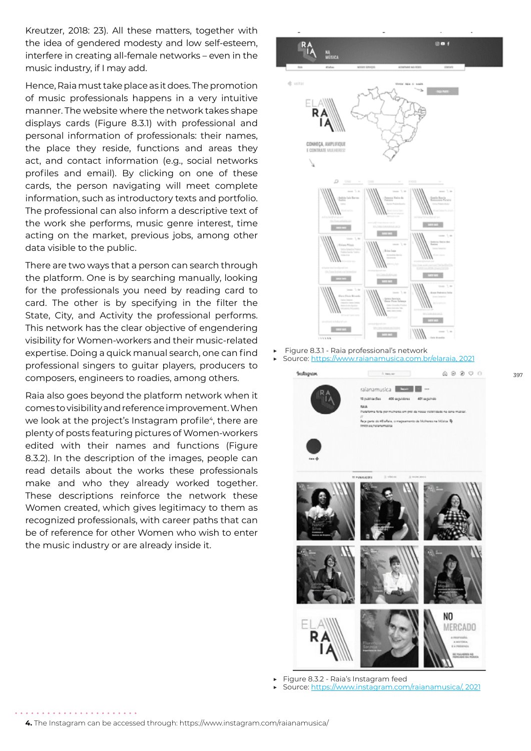Kreutzer, 2018: 23). All these matters, together with the idea of gendered modesty and low self-esteem, interfere in creating all-female networks – even in the music industry, if I may add.

Hence, Raia must take place as it does. The promotion of music professionals happens in a very intuitive manner. The website where the network takes shape displays cards (Figure 8.3.1) with professional and personal information of professionals: their names, the place they reside, functions and areas they act, and contact information (e.g., social networks profiles and email). By clicking on one of these cards, the person navigating will meet complete information, such as introductory texts and portfolio. The professional can also inform a descriptive text of the work she performs, music genre interest, time acting on the market, previous jobs, among other data visible to the public.

There are two ways that a person can search through the platform. One is by searching manually, looking for the professionals you need by reading card to card. The other is by specifying in the filter the State, City, and Activity the professional performs. This network has the clear objective of engendering visibility for Women-workers and their music-related expertise. Doing a quick manual search, one can find professional singers to guitar players, producers to composers, engineers to roadies, among others.

Raia also goes beyond the platform network when it comes to visibility and reference improvement. When we look at the project's Instagram profile<sup>4</sup>, there are plenty of posts featuring pictures of Women-workers edited with their names and functions (Figure 8.3.2). In the description of the images, people can read details about the works these professionals make and who they already worked together. These descriptions reinforce the network these Women created, which gives legitimacy to them as recognized professionals, with career paths that can be of reference for other Women who wish to enter the music industry or are already inside it.



▶ Figure 8.3.1 - Raia professional's network Source: https://www.raianamusica.com.br/elaraia, 2021

397



▶ Figure 8.3.2 - Raia's Instagram feed

Source: https://www.instagram.com/raianamusica/, 2021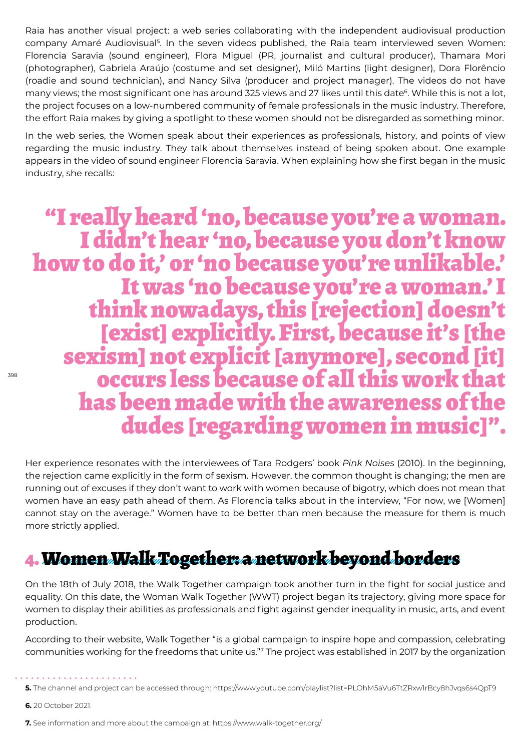Raia has another visual project: a web series collaborating with the independent audiovisual production company Amaré Audiovisual<sup>5</sup>. In the seven videos published, the Raia team interviewed seven Women: Florencia Saravia (sound engineer), Flora Miguel (PR, journalist and cultural producer), Thamara Mori (photographer), Gabriela Araújo (costume and set designer), Miló Martins (light designer), Dora Florêncio (roadie and sound technician), and Nancy Silva (producer and project manager). The videos do not have many views; the most significant one has around 325 views and 27 likes until this date<sup>6</sup>. While this is not a lot, the project focuses on a low-numbered community of female professionals in the music industry. Therefore, the effort Raia makes by giving a spotlight to these women should not be disregarded as something minor.

In the web series, the Women speak about their experiences as professionals, history, and points of view regarding the music industry. They talk about themselves instead of being spoken about. One example appears in the video of sound engineer Florencia Saravia. When explaining how she first began in the music industry, she recalls:

"I really heard 'no, because you're a woman.<br>I didn't hear 'no, because you don't know<br>how to do it,' or 'no because you're unlikable.'<br>It was 'no because you're a woman.' I<br>think nowadays, this [rejection] doesn't<br>[exist] sexism] not explicit [anymore], second [it]<br>occurs less because of all this work that has been made with the awareness of the dudes [regarding women in music]".

Her experience resonates with the interviewees of Tara Rodgers' book *Pink Noises* (2010). In the beginning, the rejection came explicitly in the form of sexism. However, the common thought is changing; the men are running out of excuses if they don't want to work with women because of bigotry, which does not mean that women have an easy path ahead of them. As Florencia talks about in the interview, "For now, we [Women] cannot stay on the average." Women have to be better than men because the measure for them is much more strictly applied.

#### 4. Women Walk Together: a network beyond borders

On the 18th of July 2018, the Walk Together campaign took another turn in the fight for social justice and equality. On this date, the Woman Walk Together (WWT) project began its trajectory, giving more space for women to display their abilities as professionals and fight against gender inequality in music, arts, and event production.

According to their website, Walk Together "is a global campaign to inspire hope and compassion, celebrating communities working for the freedoms that unite us."7 The project was established in 2017 by the organization

**<sup>5.</sup>** The channel and project can be accessed through: https://www.youtube.com/playlist?list=PLOhM5aVu6TtZRxw1rBcy8hJvqs6s4QpT9

**<sup>6.</sup>** 20 October 2021.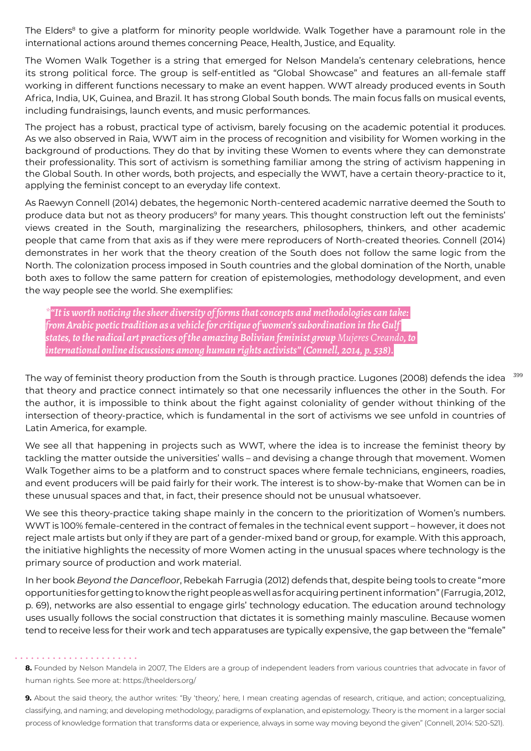The Elders<sup>8</sup> to give a platform for minority people worldwide. Walk Together have a paramount role in the international actions around themes concerning Peace, Health, Justice, and Equality.

The Women Walk Together is a string that emerged for Nelson Mandela's centenary celebrations, hence its strong political force. The group is self-entitled as "Global Showcase" and features an all-female staff working in different functions necessary to make an event happen. WWT already produced events in South Africa, India, UK, Guinea, and Brazil. It has strong Global South bonds. The main focus falls on musical events, including fundraisings, launch events, and music performances.

The project has a robust, practical type of activism, barely focusing on the academic potential it produces. As we also observed in Raia, WWT aim in the process of recognition and visibility for Women working in the background of productions. They do that by inviting these Women to events where they can demonstrate their professionality. This sort of activism is something familiar among the string of activism happening in the Global South. In other words, both projects, and especially the WWT, have a certain theory-practice to it, applying the feminist concept to an everyday life context.

As Raewyn Connell (2014) debates, the hegemonic North-centered academic narrative deemed the South to produce data but not as theory producers<sup>9</sup> for many years. This thought construction left out the feminists' views created in the South, marginalizing the researchers, philosophers, thinkers, and other academic people that came from that axis as if they were mere reproducers of North-created theories. Connell (2014) demonstrates in her work that the theory creation of the South does not follow the same logic from the North. The colonization process imposed in South countries and the global domination of the North, unable both axes to follow the same pattern for creation of epistemologies, methodology development, and even the way people see the world. She exemplifies:

*\*"It is worth noticing the sheer diversity of forms that concepts and methodologies can take: from Arabic poetic tradition as a vehicle for critique of women's subordination in the Gulf states, to the radical art practices of the amazing Bolivian feminist group Mujeres Creando, to international online discussions among human rights activists" (Connell, 2014, p. 538).*

399 The way of feminist theory production from the South is through practice. Lugones (2008) defends the idea that theory and practice connect intimately so that one necessarily influences the other in the South. For the author, it is impossible to think about the fight against coloniality of gender without thinking of the intersection of theory-practice, which is fundamental in the sort of activisms we see unfold in countries of Latin America, for example.

We see all that happening in projects such as WWT, where the idea is to increase the feminist theory by tackling the matter outside the universities' walls – and devising a change through that movement. Women Walk Together aims to be a platform and to construct spaces where female technicians, engineers, roadies, and event producers will be paid fairly for their work. The interest is to show-by-make that Women can be in these unusual spaces and that, in fact, their presence should not be unusual whatsoever.

We see this theory-practice taking shape mainly in the concern to the prioritization of Women's numbers. WWT is 100% female-centered in the contract of females in the technical event support – however, it does not reject male artists but only if they are part of a gender-mixed band or group, for example. With this approach, the initiative highlights the necessity of more Women acting in the unusual spaces where technology is the primary source of production and work material.

In her book *Beyond the Dancefloor*, Rebekah Farrugia (2012) defends that, despite being tools to create "more opportunities for getting to know the right people as well as for acquiring pertinent information" (Farrugia, 2012, p. 69), networks are also essential to engage girls' technology education. The education around technology uses usually follows the social construction that dictates it is something mainly masculine. Because women tend to receive less for their work and tech apparatuses are typically expensive, the gap between the "female"

**8.** Founded by Nelson Mandela in 2007, The Elders are a group of independent leaders from various countries that advocate in favor of human rights. See more at: https://theelders.org/

**9.** About the said theory, the author writes: "By 'theory,' here, I mean creating agendas of research, critique, and action; conceptualizing, classifying, and naming; and developing methodology, paradigms of explanation, and epistemology. Theory is the moment in a larger social process of knowledge formation that transforms data or experience, always in some way moving beyond the given" (Connell, 2014: 520-521).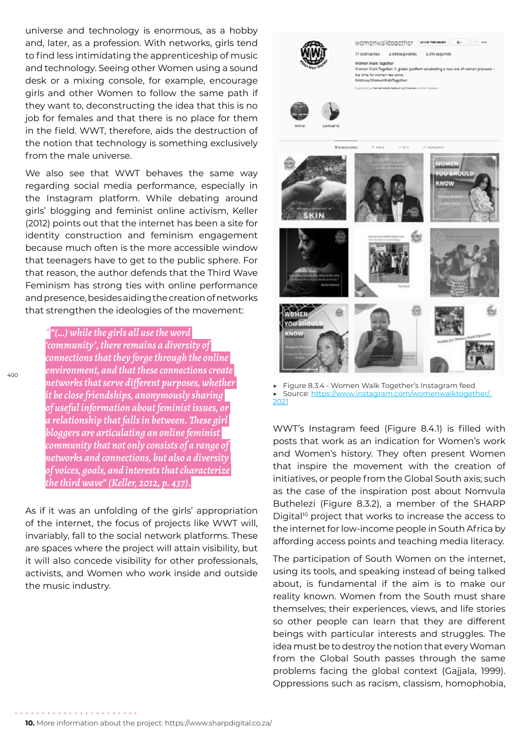universe and technology is enormous, as a hobby and, later, as a profession. With networks, girls tend to find less intimidating the apprenticeship of music and technology. Seeing other Women using a sound desk or a mixing console, for example, encourage girls and other Women to follow the same path if they want to, deconstructing the idea that this is no job for females and that there is no place for them in the field. WWT, therefore, aids the destruction of the notion that technology is something exclusively from the male universe.

We also see that WWT behaves the same way regarding social media performance, especially in the Instagram platform. While debating around girls' blogging and feminist online activism, Keller (2012) points out that the internet has been a site for identity construction and feminism engagement because much often is the more accessible window that teenagers have to get to the public sphere. For that reason, the author defends that the Third Wave Feminism has strong ties with online performance and presence, besides aiding the creation of networks that strengthen the ideologies of the movement:

*\*"(…) while the girls all use the word 'community', there remains a diversity of connections that they forge through the online environment, and that these connections create networks that serve different purposes, whether it be close friendships, anonymously sharing of useful information about feminist issues, or a relationship that falls in between. These girl bloggers are articulating an online feminist community that not only consists of a range of networks and connections, but also a diversity of voices, goals, and interests that characterize the third wave" (Keller, 2012, p. 437).*

As if it was an unfolding of the girls' appropriation of the internet, the focus of projects like WWT will, invariably, fall to the social network platforms. These are spaces where the project will attain visibility, but it will also concede visibility for other professionals, activists, and Women who work inside and outside the music industry.



▶ Figure 8.3.4 - Women Walk Together's Instagram feed Source: https://www.instagram.com/womenwalktogether/, 2021

WWT's Instagram feed (Figure 8.4.1) is filled with posts that work as an indication for Women's work and Women's history. They often present Women that inspire the movement with the creation of initiatives, or people from the Global South axis; such as the case of the inspiration post about Nomvula Buthelezi (Figure 8.3.2), a member of the SHARP Digital<sup>10</sup> project that works to increase the access to the internet for low-income people in South Africa by affording access points and teaching media literacy.

The participation of South Women on the internet, using its tools, and speaking instead of being talked about, is fundamental if the aim is to make our reality known. Women from the South must share themselves; their experiences, views, and life stories so other people can learn that they are different beings with particular interests and struggles. The idea must be to destroy the notion that every Woman from the Global South passes through the same problems facing the global context (Gajjala, 1999). Oppressions such as racism, classism, homophobia,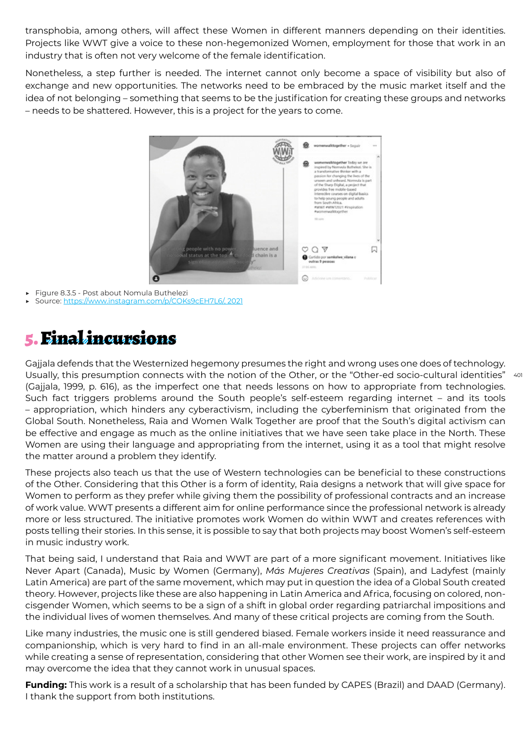transphobia, among others, will affect these Women in different manners depending on their identities. Projects like WWT give a voice to these non-hegemonized Women, employment for those that work in an industry that is often not very welcome of the female identification.

Nonetheless, a step further is needed. The internet cannot only become a space of visibility but also of exchange and new opportunities. The networks need to be embraced by the music market itself and the idea of not belonging – something that seems to be the justification for creating these groups and networks – needs to be shattered. However, this is a project for the years to come.



Figure 8.3.5 - Post about Nomula Buthelezi

Source: https://www.instagram.com/p/COKs9cEH7L6/, 2021

### 5. Final incursions

Usually, this presumption connects with the notion of the Other, or the "Other-ed socio-cultural identities" 401 Gajjala defends that the Westernized hegemony presumes the right and wrong uses one does of technology. (Gajjala, 1999, p. 616), as the imperfect one that needs lessons on how to appropriate from technologies. Such fact triggers problems around the South people's self-esteem regarding internet – and its tools – appropriation, which hinders any cyberactivism, including the cyberfeminism that originated from the Global South. Nonetheless, Raia and Women Walk Together are proof that the South's digital activism can be effective and engage as much as the online initiatives that we have seen take place in the North. These Women are using their language and appropriating from the internet, using it as a tool that might resolve the matter around a problem they identify.

These projects also teach us that the use of Western technologies can be beneficial to these constructions of the Other. Considering that this Other is a form of identity, Raia designs a network that will give space for Women to perform as they prefer while giving them the possibility of professional contracts and an increase of work value. WWT presents a different aim for online performance since the professional network is already more or less structured. The initiative promotes work Women do within WWT and creates references with posts telling their stories. In this sense, it is possible to say that both projects may boost Women's self-esteem in music industry work.

That being said, I understand that Raia and WWT are part of a more significant movement. Initiatives like Never Apart (Canada), Music by Women (Germany), *Más Mujeres Creativas* (Spain), and Ladyfest (mainly Latin America) are part of the same movement, which may put in question the idea of a Global South created theory. However, projects like these are also happening in Latin America and Africa, focusing on colored, noncisgender Women, which seems to be a sign of a shift in global order regarding patriarchal impositions and the individual lives of women themselves. And many of these critical projects are coming from the South.

Like many industries, the music one is still gendered biased. Female workers inside it need reassurance and companionship, which is very hard to find in an all-male environment. These projects can offer networks while creating a sense of representation, considering that other Women see their work, are inspired by it and may overcome the idea that they cannot work in unusual spaces.

**Funding:** This work is a result of a scholarship that has been funded by CAPES (Brazil) and DAAD (Germany). I thank the support from both institutions.